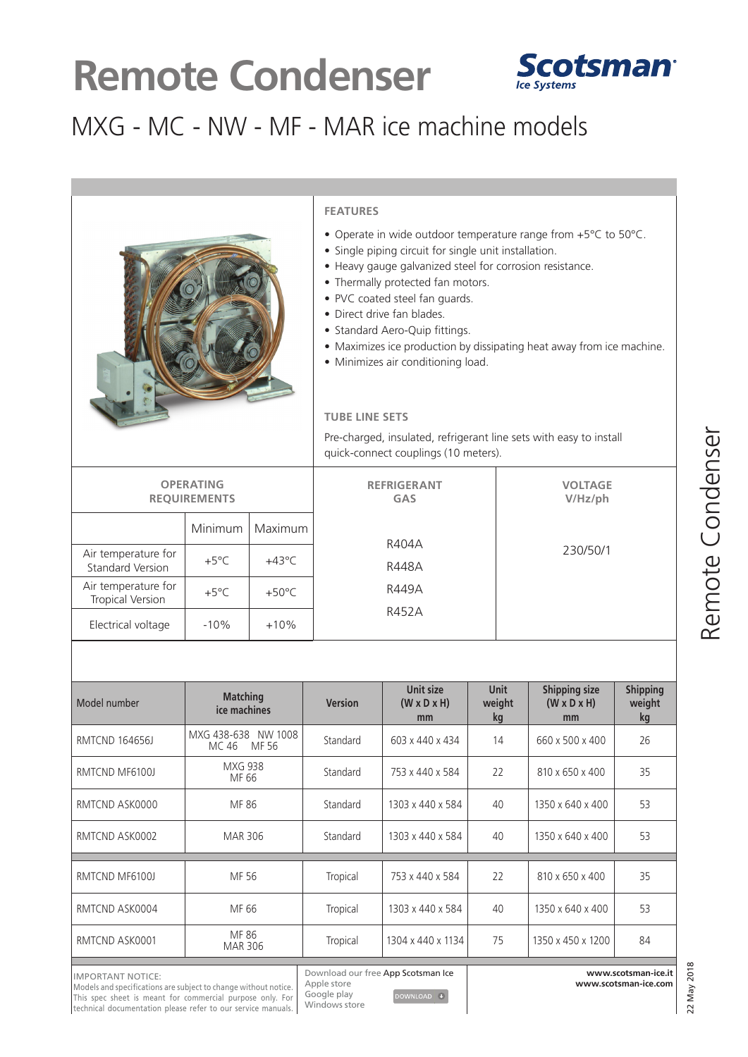# **Remote Condenser**



### MXG - MC - NW - MF - MAR ice machine models



#### **FEATURES**

- Operate in wide outdoor temperature range from +5°C to 50°C.
- Single piping circuit for single unit installation.
- Heavy gauge galvanized steel for corrosion resistance.
- Thermally protected fan motors.
- PVC coated steel fan guards.
- Direct drive fan blades.
- Standard Aero-Quip fittings.
- Maximizes ice production by dissipating heat away from ice machine.
- Minimizes air conditioning load.

#### **TUBE LINE SETS**

Pre-charged, insulated, refrigerant line sets with easy to install quick-connect couplings (10 meters).

| <b>OPERATING</b><br><b>REQUIREMENTS</b>        |                |                 | <b>REFRIGERANT</b><br><b>GAS</b> | <b>VOLTAGE</b><br>$V/Hz$ /ph |
|------------------------------------------------|----------------|-----------------|----------------------------------|------------------------------|
|                                                | Minimum        | Maximum         |                                  |                              |
| Air temperature for<br>Standard Version        | $+5^{\circ}$ C | $+43^{\circ}$ C | R404A<br>R448A                   | 230/50/1                     |
| Air temperature for<br><b>Tropical Version</b> | $+5^{\circ}$ C | $+50^{\circ}$ C | R449A                            |                              |
| Electrical voltage                             | $-10%$         | $+10%$          | R452A                            |                              |

| <b>Matching</b><br>ice machines          | <b>Version</b> | Unit size<br>$(W \times D \times H)$<br>mm | <b>Unit</b><br>weight<br>kg | <b>Shipping size</b><br>$(W \times D \times H)$<br>mm | <b>Shipping</b><br>weight<br>kg |  |  |  |  |  |
|------------------------------------------|----------------|--------------------------------------------|-----------------------------|-------------------------------------------------------|---------------------------------|--|--|--|--|--|
| MXG 438-638<br>NW 1008<br>MF 56<br>MC 46 | Standard       | 603 x 440 x 434                            | 14                          | 660 x 500 x 400                                       | 26                              |  |  |  |  |  |
| <b>MXG 938</b><br>MF 66                  | Standard       | 753 x 440 x 584                            | 22                          | 810 x 650 x 400                                       | 35                              |  |  |  |  |  |
| MF 86                                    | Standard       | 1303 x 440 x 584                           | 40                          | 1350 x 640 x 400                                      | 53                              |  |  |  |  |  |
| MAR 306                                  | Standard       | 1303 x 440 x 584                           | 40                          | 1350 x 640 x 400                                      | 53                              |  |  |  |  |  |
|                                          |                |                                            |                             |                                                       |                                 |  |  |  |  |  |
| MF 56                                    | Tropical       | 753 x 440 x 584                            | 22                          | 810 x 650 x 400                                       | 35                              |  |  |  |  |  |
| MF 66                                    | Tropical       | 1303 x 440 x 584                           | 40                          | 1350 x 640 x 400                                      | 53                              |  |  |  |  |  |
| MF 86<br><b>MAR 306</b>                  | Tropical       | 1304 x 440 x 1134                          | 75                          | 1350 x 450 x 1200                                     | 84                              |  |  |  |  |  |
|                                          |                |                                            |                             |                                                       |                                 |  |  |  |  |  |

 $\begin{tabular}{ll} \textbf{DOWNLOAD} & $\color{red} \blacklozenge$ \end{tabular}$ 

Google play Windows store

**www.scotsman-ice.it www.scotsman-ice.com**